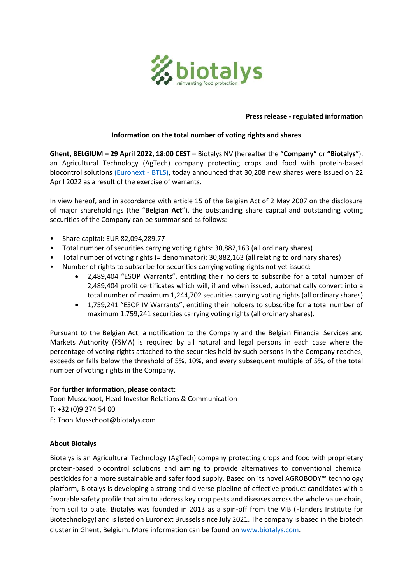

## **Press release - regulated information**

## **Information on the total number of voting rights and shares**

**Ghent, BELGIUM – 29 April 2022, 18:00 CEST** – Biotalys NV (hereafter the **"Company"** or **"Biotalys**"), an Agricultural Technology (AgTech) company protecting crops and food with protein-based biocontrol solutions [\(Euronext -](http://www.biotalys.com/) BTLS), today announced that 30,208 new shares were issued on 22 April 2022 as a result of the exercise of warrants.

In view hereof, and in accordance with article 15 of the Belgian Act of 2 May 2007 on the disclosure of major shareholdings (the "**Belgian Act**"), the outstanding share capital and outstanding voting securities of the Company can be summarised as follows:

- Share capital: EUR 82,094,289.77
- Total number of securities carrying voting rights: 30,882,163 (all ordinary shares)
- Total number of voting rights (= denominator): 30,882,163 (all relating to ordinary shares)
- Number of rights to subscribe for securities carrying voting rights not yet issued:
	- 2,489,404 "ESOP Warrants", entitling their holders to subscribe for a total number of 2,489,404 profit certificates which will, if and when issued, automatically convert into a total number of maximum 1,244,702 securities carrying voting rights (all ordinary shares)
	- 1,759,241 "ESOP IV Warrants", entitling their holders to subscribe for a total number of maximum 1,759,241 securities carrying voting rights (all ordinary shares).

Pursuant to the Belgian Act, a notification to the Company and the Belgian Financial Services and Markets Authority (FSMA) is required by all natural and legal persons in each case where the percentage of voting rights attached to the securities held by such persons in the Company reaches, exceeds or falls below the threshold of 5%, 10%, and every subsequent multiple of 5%, of the total number of voting rights in the Company.

## **For further information, please contact:**

Toon Musschoot, Head Investor Relations & Communication

T: +32 (0)9 274 54 00

E: Toon.Musschoot@biotalys.com

## **About Biotalys**

Biotalys is an Agricultural Technology (AgTech) company protecting crops and food with proprietary protein-based biocontrol solutions and aiming to provide alternatives to conventional chemical pesticides for a more sustainable and safer food supply. Based on its novel AGROBODY™ technology platform, Biotalys is developing a strong and diverse pipeline of effective product candidates with a favorable safety profile that aim to address key crop pests and diseases across the whole value chain, from soil to plate. Biotalys was founded in 2013 as a spin-off from the VIB (Flanders Institute for Biotechnology) and is listed on Euronext Brussels since July 2021. The company is based in the biotech cluster in Ghent, Belgium. More information can be found o[n www.biotalys.com.](http://www.biotalys.com/)